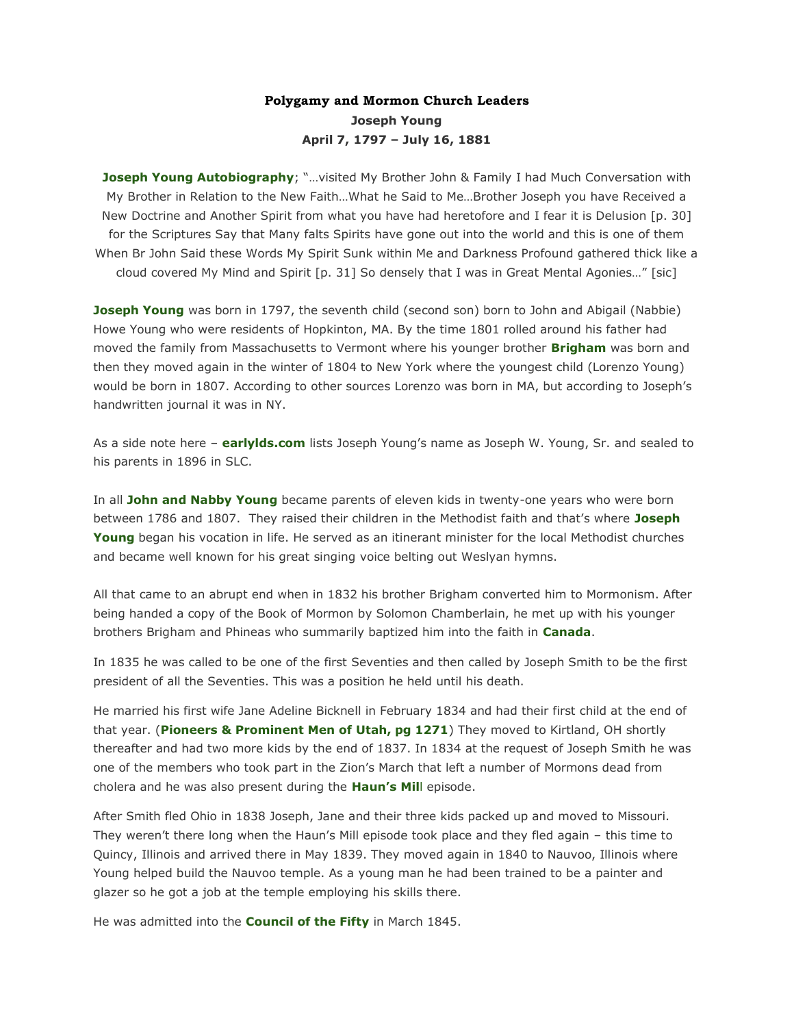# **Polygamy and Mormon Church Leaders Joseph Young April 7, 1797 – July 16, 1881**

**[Joseph Young Autobiography](http://young.parkinsonfamily.org/joseph/docs/joseph-young-autobiography.htm)**; "...visited My Brother John & Family I had Much Conversation with My Brother in Relation to the New Faith…What he Said to Me…Brother Joseph you have Received a New Doctrine and Another Spirit from what you have had heretofore and I fear it is Delusion [p. 30] for the Scriptures Say that Many falts Spirits have gone out into the world and this is one of them When Br John Said these Words My Spirit Sunk within Me and Darkness Profound gathered thick like a cloud covered My Mind and Spirit [p. 31] So densely that I was in Great Mental Agonies…" [sic]

**[Joseph Young](http://young.parkinsonfamily.org/joseph/docs/joseph-young-autobiography.htm)** was born in 1797, the seventh child (second son) born to John and Abigail (Nabbie) Howe Young who were residents of Hopkinton, MA. By the time 1801 rolled around his father had moved the family from Massachusetts to Vermont where his younger brother **[Brigham](http://lifeafterministry.com/2011/05/20/polygamy-and-mormon-church-leaders/)** was born and then they moved again in the winter of 1804 to New York where the youngest child (Lorenzo Young) would be born in 1807. According to other sources Lorenzo was born in MA, but according to Joseph's handwritten journal it was in NY.

As a side note here – **[earlylds.com](http://www.earlylds.com/familygroup.php?familyID=F7360&tree=Earlylds)** lists Joseph Young's name as Joseph W. Young, Sr. and sealed to his parents in 1896 in SLC.

In all **[John and Nabby Young](http://our-genealogy.com/Latter-Day-Saint-Families/Young-Family/ancestry-young/john_young.htm)** became parents of eleven kids in twenty-one years who were born between 1786 and 1807. They raised their children in the Methodist faith and that's where **[Joseph](http://young.parkinsonfamily.org/joseph/docs/jane-adeline-young-robbins-kara.htm)  [Young](http://young.parkinsonfamily.org/joseph/docs/jane-adeline-young-robbins-kara.htm)** began his vocation in life. He served as an itinerant minister for the local Methodist churches and became well known for his great singing voice belting out Weslyan hymns.

All that came to an abrupt end when in 1832 his brother Brigham converted him to Mormonism. After being handed a copy of the Book of Mormon by Solomon Chamberlain, he met up with his younger brothers Brigham and Phineas who summarily baptized him into the faith in **[Canada](http://young.parkinsonfamily.org/joseph/docs/contributor-on-joseph-young.htm)**.

In 1835 he was called to be one of the first Seventies and then called by Joseph Smith to be the first president of all the Seventies. This was a position he held until his death.

He married his first wife Jane Adeline Bicknell in February 1834 and had their first child at the end of that year. (**[Pioneers & Prominent Men of Utah, pg 1271](http://archive.org/stream/pioneersprominen02essh#page/1270/mode/1up%20)**) They moved to Kirtland, OH shortly thereafter and had two more kids by the end of 1837. In 1834 at the request of Joseph Smith he was one of the members who took part in the Zion's March that left a number of Mormons dead from cholera and he was also present during the **[Haun's](http://young.parkinsonfamily.org/joseph/docs/jane-adeline-young-robbins-kara.htm) Mil**l episode.

After Smith fled Ohio in 1838 Joseph, Jane and their three kids packed up and moved to Missouri. They weren't there long when the Haun's Mill episode took place and they fled again – this time to Quincy, Illinois and arrived there in May 1839. They moved again in 1840 to Nauvoo, Illinois where Young helped build the Nauvoo temple. As a young man he had been trained to be a painter and glazer so he got a job at the temple employing his skills there.

He was admitted into the **[Council of the Fifty](http://josephsmithpapers.org/person?name=Joseph+Young)** in March 1845.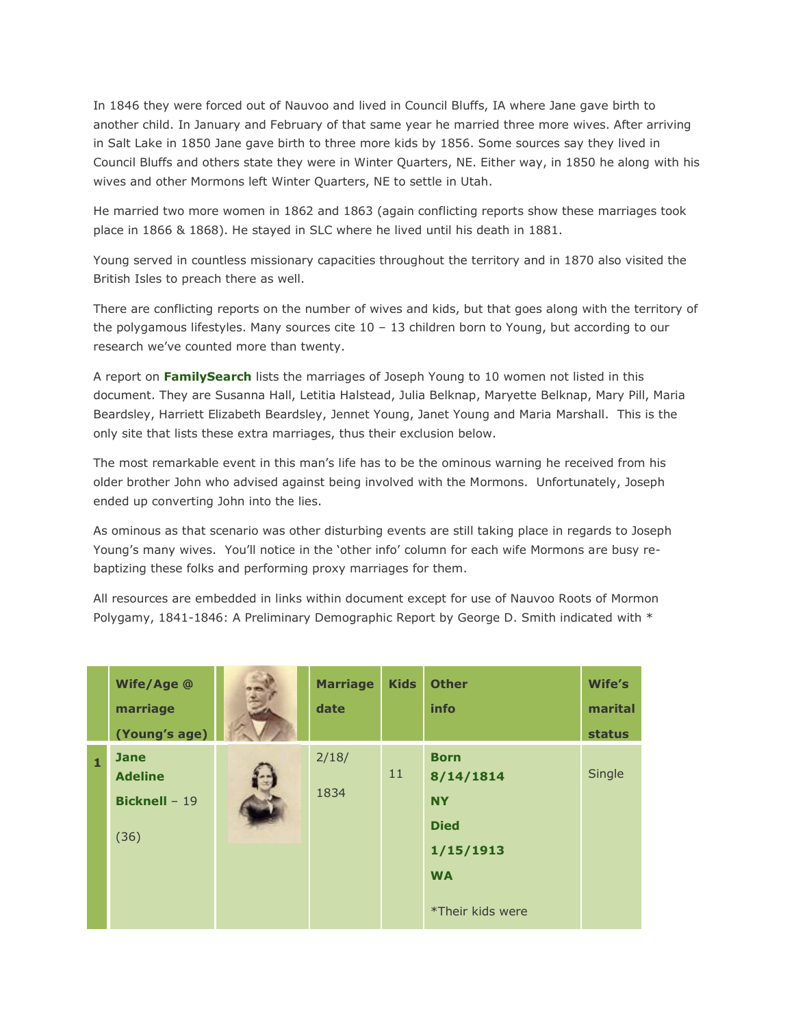In 1846 they were forced out of Nauvoo and lived in Council Bluffs, IA where Jane gave birth to another child. In January and February of that same year he married three more wives. After arriving in Salt Lake in 1850 Jane gave birth to three more kids by 1856. Some sources say they lived in Council Bluffs and others state they were in Winter Quarters, NE. Either way, in 1850 he along with his wives and other Mormons left Winter Quarters, NE to settle in Utah.

He married two more women in 1862 and 1863 (again conflicting reports show these marriages took place in 1866 & 1868). He stayed in SLC where he lived until his death in 1881.

Young served in countless missionary capacities throughout the territory and in 1870 also visited the British Isles to preach there as well.

There are conflicting reports on the number of wives and kids, but that goes along with the territory of the polygamous lifestyles. Many sources cite  $10 - 13$  children born to Young, but according to our research we've counted more than twenty.

A report on **[FamilySearch](https://familysearch.org/tree/#view=ancestor&person=KWJT-N5K%20)** lists the marriages of Joseph Young to 10 women not listed in this document. They are Susanna Hall, Letitia Halstead, Julia Belknap, Maryette Belknap, Mary Pill, Maria Beardsley, Harriett Elizabeth Beardsley, Jennet Young, Janet Young and Maria Marshall. This is the only site that lists these extra marriages, thus their exclusion below.

The most remarkable event in this man's life has to be the ominous warning he received from his older brother John who advised against being involved with the Mormons. Unfortunately, Joseph ended up converting John into the lies.

As ominous as that scenario was other disturbing events are still taking place in regards to Joseph Young's many wives. You'll notice in the 'other info' column for each wife Mormons are busy rebaptizing these folks and performing proxy marriages for them.

All resources are embedded in links within document except for use of Nauvoo Roots of Mormon Polygamy, 1841-1846: A Preliminary Demographic Report by George D. Smith indicated with \*

|              | Wife/Age @<br>marriage<br>(Young's age)                       | <b>Marriage</b><br>date | <b>Kids</b> | <b>Other</b><br>info                                                                               | Wife's<br>marital<br><b>status</b> |
|--------------|---------------------------------------------------------------|-------------------------|-------------|----------------------------------------------------------------------------------------------------|------------------------------------|
| $\mathbf{1}$ | <b>Jane</b><br><b>Adeline</b><br><b>Bicknell - 19</b><br>(36) | 2/18/<br>1834           | 11          | <b>Born</b><br>8/14/1814<br><b>NY</b><br><b>Died</b><br>1/15/1913<br><b>WA</b><br>*Their kids were | Single                             |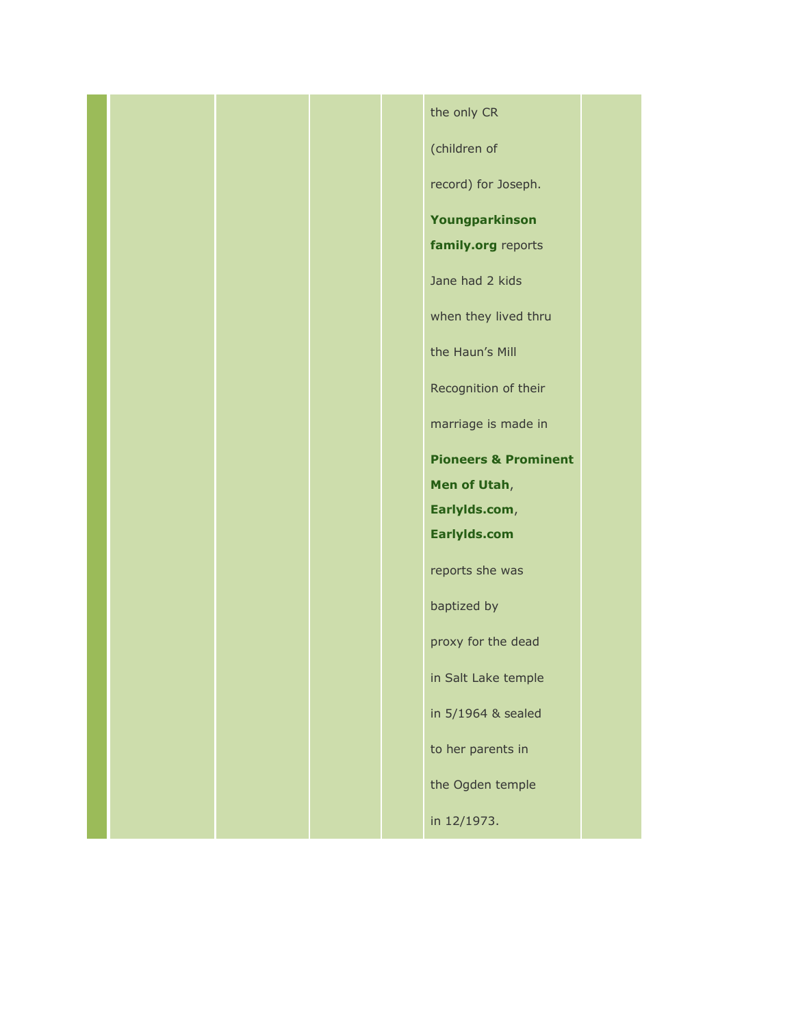# the only CR

(children of

record) for Joseph.

### **[Youngparkinson](http://young.parkinsonfamily.org/joseph/docs/vilate-jane-bicknell-young.htm)**

**[family.org](http://young.parkinsonfamily.org/joseph/docs/vilate-jane-bicknell-young.htm)** reports

Jane had 2 kids

when they lived thru

the Haun's Mill

Recognition of their

marriage is made in

**[Pioneers & Prominent](http://pioneers.rstebbing.com/Y.html) [Men of Utah](http://pioneers.rstebbing.com/Y.html)**, **[Earlylds.com](http://www.earlylds.com/getperson.php?personID=I16757&tree=Earlylds)**, **[Earlylds.com](http://www.earlylds.com/getperson.php?personID=I16757&tree=Earlylds)** reports she was

baptized by

proxy for the dead

in Salt Lake temple

in 5/1964 & sealed

to her parents in

the Ogden temple

in 12/1973.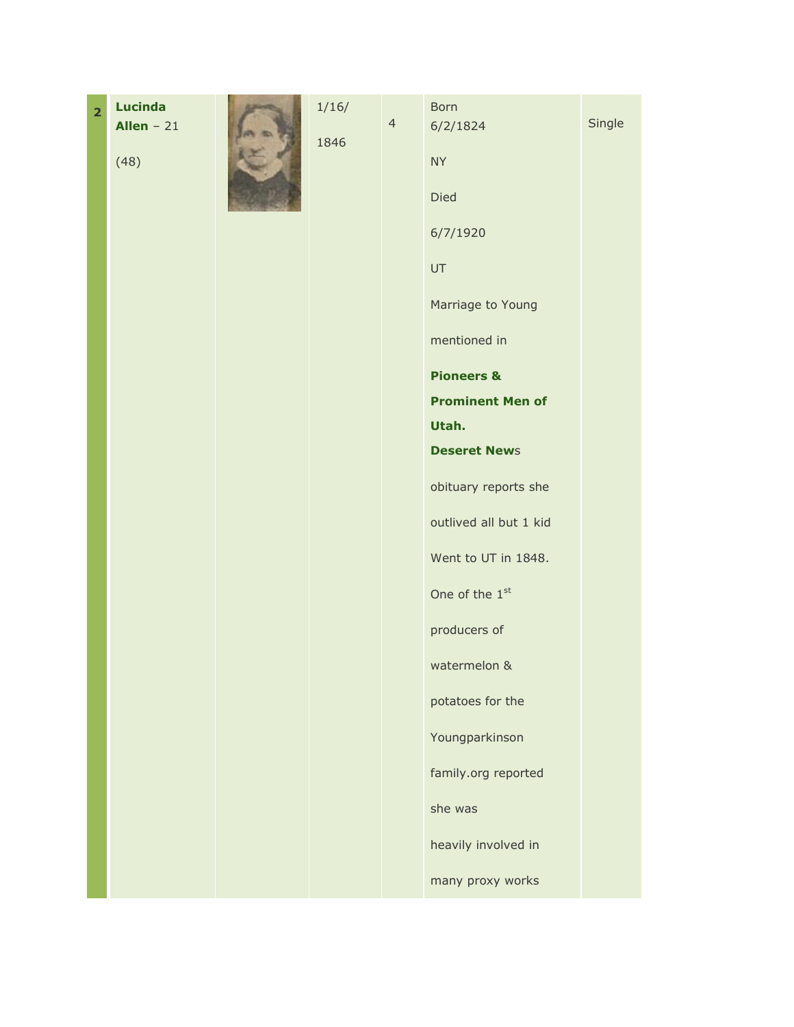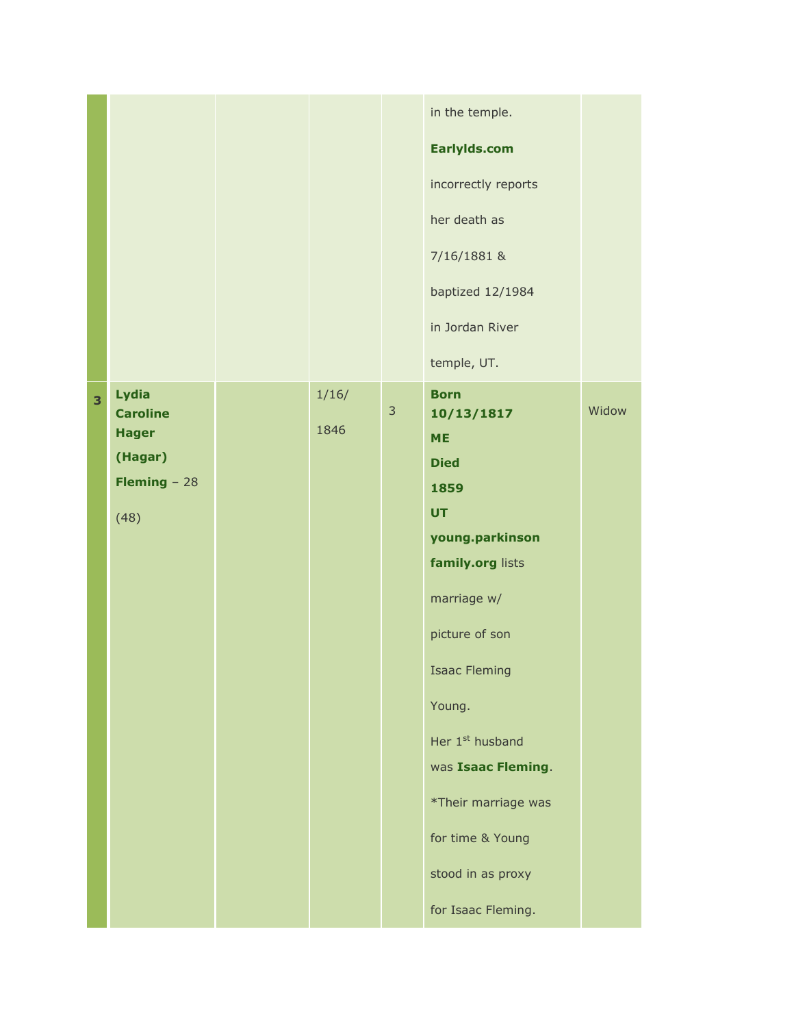|   |                                                                                     |               |              | in the temple.<br>EarlyIds.com<br>incorrectly reports<br>her death as<br>7/16/1881 &<br>baptized 12/1984<br>in Jordan River<br>temple, UT.                                                                                                                                                                                      |       |
|---|-------------------------------------------------------------------------------------|---------------|--------------|---------------------------------------------------------------------------------------------------------------------------------------------------------------------------------------------------------------------------------------------------------------------------------------------------------------------------------|-------|
| 3 | Lydia<br><b>Caroline</b><br><b>Hager</b><br>(Hagar)<br><b>Fleming</b> $-28$<br>(48) | 1/16/<br>1846 | $\mathbf{3}$ | <b>Born</b><br>10/13/1817<br><b>ME</b><br><b>Died</b><br>1859<br><b>UT</b><br>young.parkinson<br>family.org lists<br>marriage w/<br>picture of son<br><b>Isaac Fleming</b><br>Young.<br>Her 1 <sup>st</sup> husband<br>was Isaac Fleming.<br>*Their marriage was<br>for time & Young<br>stood in as proxy<br>for Isaac Fleming. | Widow |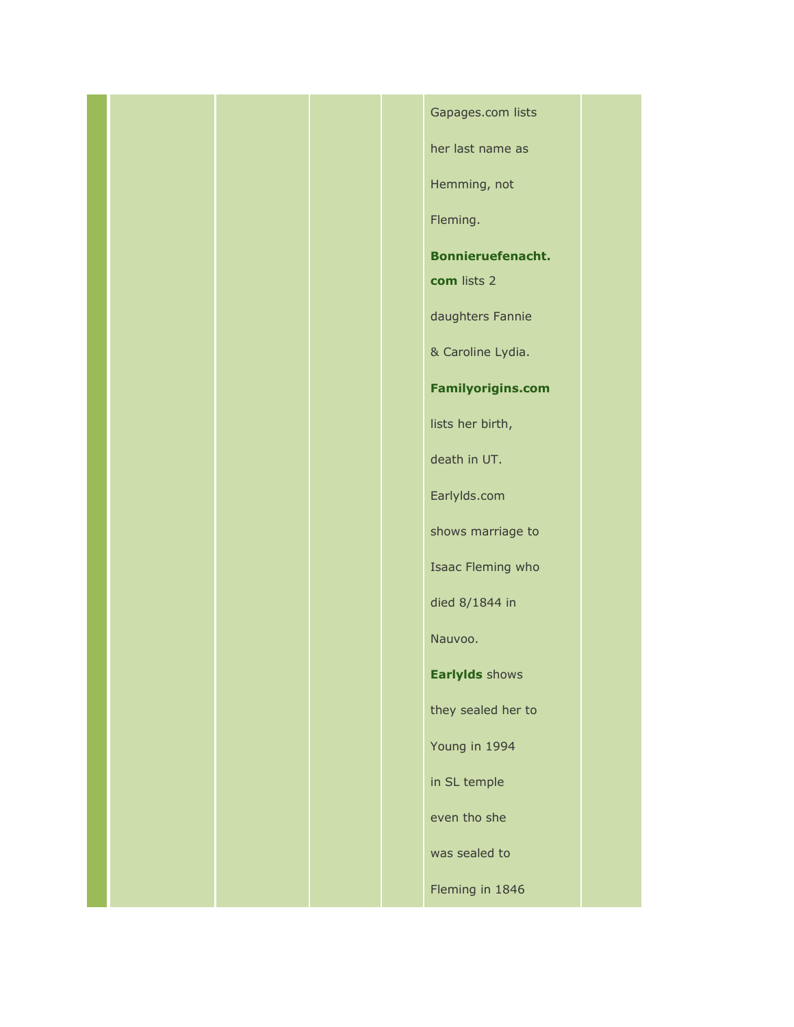# Gapages.com lists

her last name as

Hemming, not

Fleming.

**[Bonnieruefenacht.](http://www.bonnieruefenacht.com/secondsite/web-p/p154.htm#i13326)**

**[com](http://www.bonnieruefenacht.com/secondsite/web-p/p154.htm#i13326)** lists 2

daughters Fannie

& Caroline Lydia.

**[Familyorigins.com](http://www.familyorigins.com/users/k/e/e/Louis-J-Keester/FAMO3-0001/d214.htm#P4275)**

lists her birth,

death in UT.

Earlylds.com

shows marriage to

Isaac Fleming who

died 8/1844 in

Nauvoo.

**[Earlylds](http://www.earlylds.com/getperson.php?personID=I9994&tree=Earlylds)** shows

they sealed her to

Young in 1994

in SL temple

even tho she

was sealed to

Fleming in 1846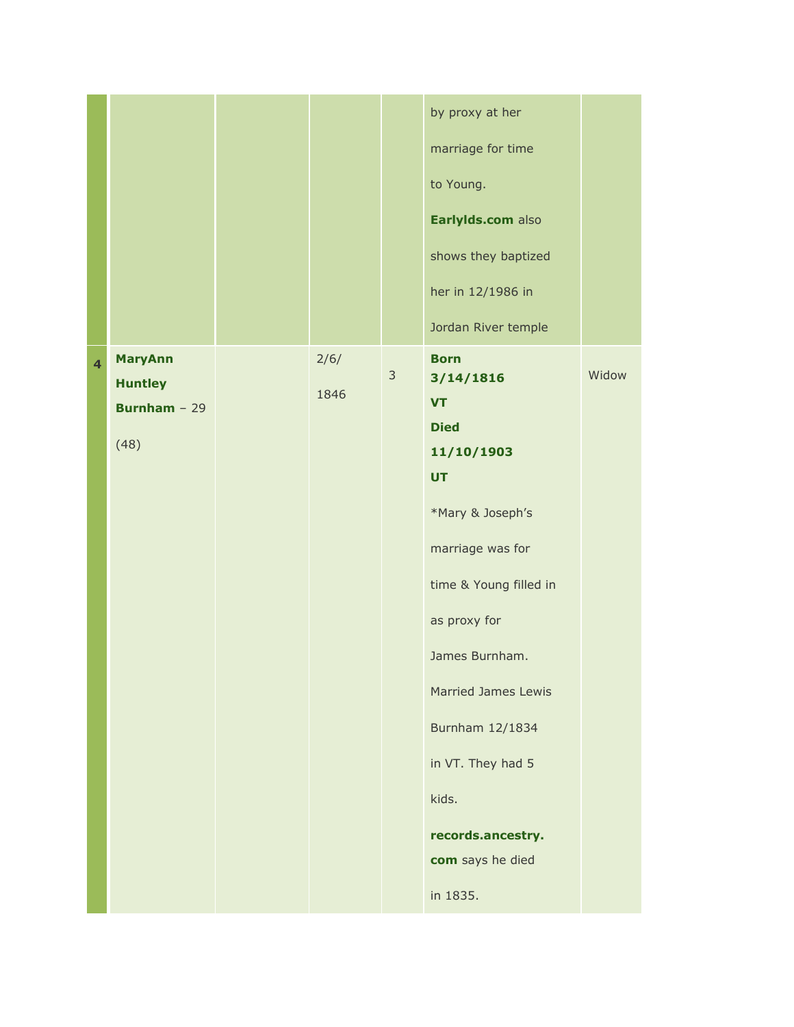|                         |                                                                   |              |                | by proxy at her<br>marriage for time<br>to Young.<br>Earlylds.com also<br>shows they baptized<br>her in 12/1986 in<br>Jordan River temple                                                                                                                                                                               |       |
|-------------------------|-------------------------------------------------------------------|--------------|----------------|-------------------------------------------------------------------------------------------------------------------------------------------------------------------------------------------------------------------------------------------------------------------------------------------------------------------------|-------|
| $\overline{\mathbf{4}}$ | <b>MaryAnn</b><br><b>Huntley</b><br><b>Burnham</b> - $29$<br>(48) | 2/6/<br>1846 | $\mathfrak{Z}$ | <b>Born</b><br>3/14/1816<br><b>VT</b><br><b>Died</b><br>11/10/1903<br><b>UT</b><br>*Mary & Joseph's<br>marriage was for<br>time & Young filled in<br>as proxy for<br>James Burnham.<br><b>Married James Lewis</b><br>Burnham 12/1834<br>in VT. They had 5<br>kids.<br>records.ancestry.<br>com says he died<br>in 1835. | Widow |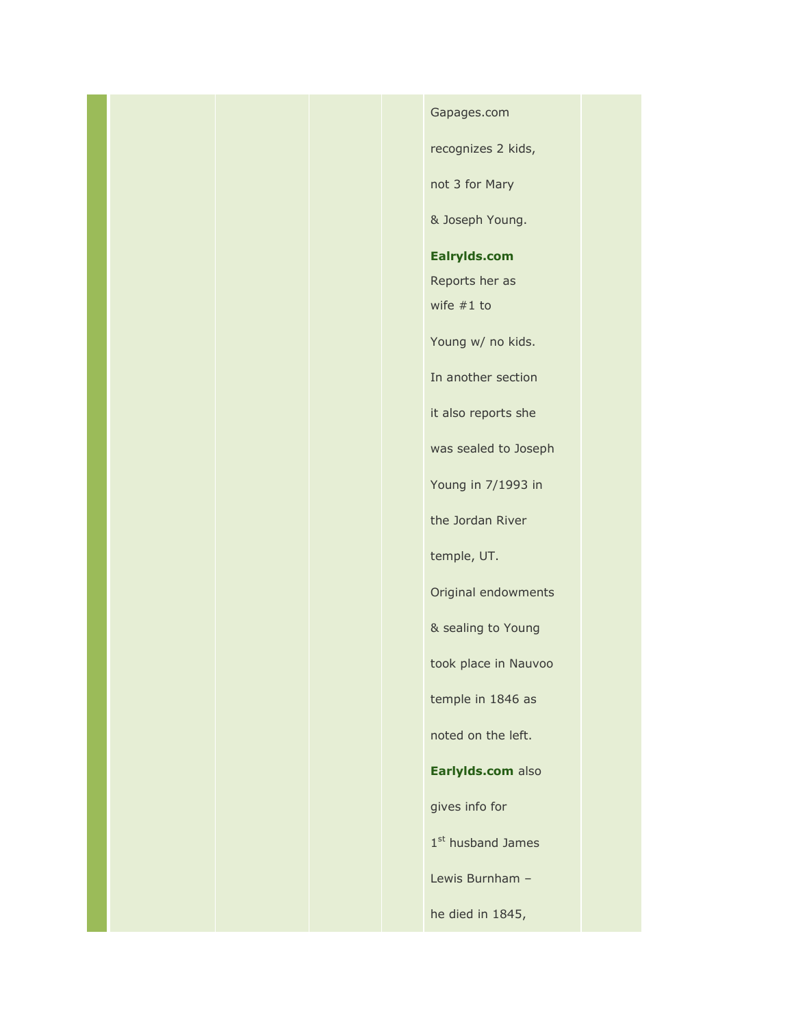#### Gapages.com

recognizes 2 kids,

not 3 for Mary

& Joseph Young.

**[Ealrylds.com](http://www.earlylds.com/getperson.php?personID=I33351&tree=Earlylds)**

Reports her as

wife #1 to

Young w/ no kids.

In another section

it also reports she

was sealed to Joseph

Young in 7/1993 in

the Jordan River

temple, UT.

Original endowments

& sealing to Young

took place in Nauvoo

temple in 1846 as

noted on the left.

**[Earlylds.com](http://www.earlylds.com/getperson.php?personID=I776&tree=Earlylds)** also

gives info for

1st husband James

Lewis Burnham –

he died in 1845,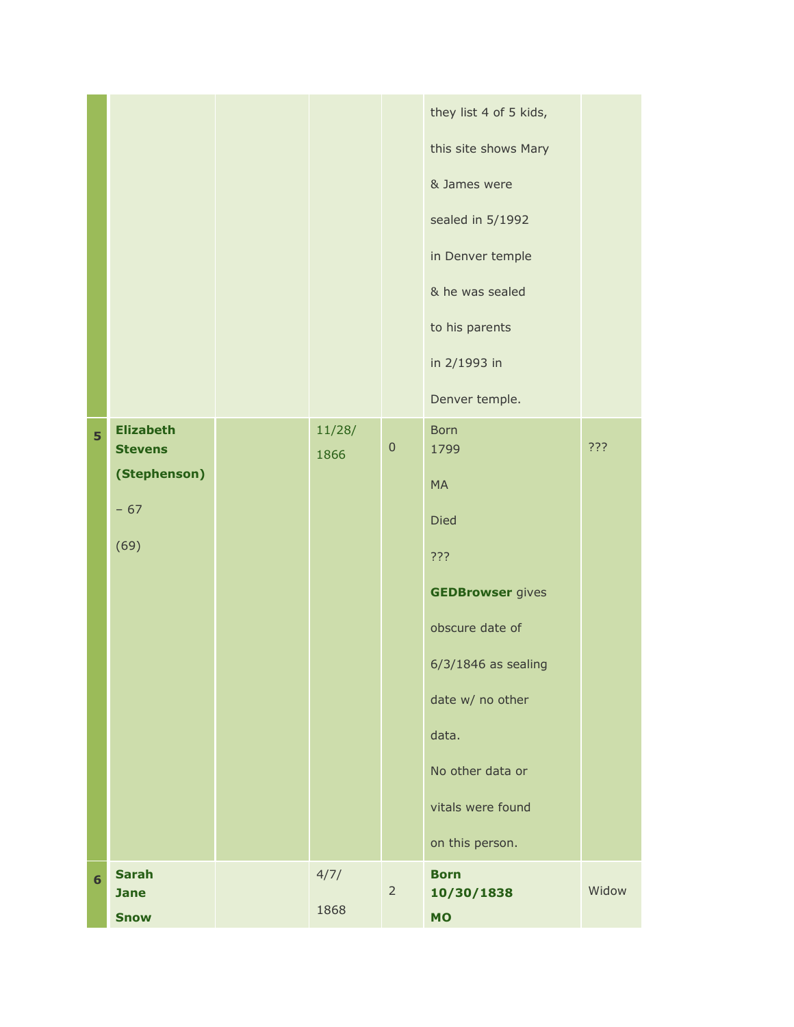|                |                                                                     |                |                | they list 4 of 5 kids,<br>this site shows Mary<br>& James were<br>sealed in 5/1992<br>in Denver temple<br>& he was sealed<br>to his parents<br>in 2/1993 in<br>Denver temple.                                          |       |
|----------------|---------------------------------------------------------------------|----------------|----------------|------------------------------------------------------------------------------------------------------------------------------------------------------------------------------------------------------------------------|-------|
| 5              | <b>Elizabeth</b><br><b>Stevens</b><br>(Stephenson)<br>$-67$<br>(69) | 11/28/<br>1866 | $\mathbf 0$    | <b>Born</b><br>1799<br><b>MA</b><br><b>Died</b><br>???<br><b>GEDBrowser</b> gives<br>obscure date of<br>$6/3/1846$ as sealing<br>date w/ no other<br>data.<br>No other data or<br>vitals were found<br>on this person. | ???   |
| $6\phantom{a}$ | <b>Sarah</b><br><b>Jane</b><br><b>Snow</b>                          | 4/7/<br>1868   | $\overline{2}$ | <b>Born</b><br>10/30/1838<br><b>MO</b>                                                                                                                                                                                 | Widow |